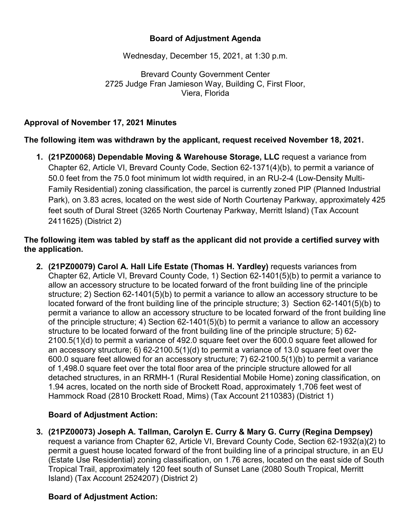## **Board of Adjustment Agenda**

Wednesday, December 15, 2021, at 1:30 p.m.

Brevard County Government Center 2725 Judge Fran Jamieson Way, Building C, First Floor, Viera, Florida

#### **Approval of November 17, 2021 Minutes**

**The following item was withdrawn by the applicant, request received November 18, 2021.**

**1. (21PZ00068) Dependable Moving & Warehouse Storage, LLC** request a variance from Chapter 62, Article VI, Brevard County Code, Section 62-1371(4)(b), to permit a variance of 50.0 feet from the 75.0 foot minimum lot width required, in an RU-2-4 (Low-Density Multi-Family Residential) zoning classification, the parcel is currently zoned PIP (Planned Industrial Park), on 3.83 acres, located on the west side of North Courtenay Parkway, approximately 425 feet south of Dural Street (3265 North Courtenay Parkway, Merritt Island) (Tax Account 2411625) (District 2)

#### **The following item was tabled by staff as the applicant did not provide a certified survey with the application.**

**2. (21PZ00079) Carol A. Hall Life Estate (Thomas H. Yardley)** requests variances from Chapter 62, Article VI, Brevard County Code, 1) Section 62-1401(5)(b) to permit a variance to allow an accessory structure to be located forward of the front building line of the principle structure; 2) Section 62-1401(5)(b) to permit a variance to allow an accessory structure to be located forward of the front building line of the principle structure; 3) Section 62-1401(5)(b) to permit a variance to allow an accessory structure to be located forward of the front building line of the principle structure; 4) Section 62-1401(5)(b) to permit a variance to allow an accessory structure to be located forward of the front building line of the principle structure; 5) 62- 2100.5(1)(d) to permit a variance of 492.0 square feet over the 600.0 square feet allowed for an accessory structure; 6) 62-2100.5(1)(d) to permit a variance of 13.0 square feet over the 600.0 square feet allowed for an accessory structure; 7) 62-2100.5(1)(b) to permit a variance of 1,498.0 square feet over the total floor area of the principle structure allowed for all detached structures, in an RRMH-1 (Rural Residential Mobile Home) zoning classification, on 1.94 acres, located on the north side of Brockett Road, approximately 1,706 feet west of Hammock Road (2810 Brockett Road, Mims) (Tax Account 2110383) (District 1)

### **Board of Adjustment Action:**

**3. (21PZ00073) Joseph A. Tallman, Carolyn E. Curry & Mary G. Curry (Regina Dempsey)** request a variance from Chapter 62, Article VI, Brevard County Code, Section 62-1932(a)(2) to permit a guest house located forward of the front building line of a principal structure, in an EU (Estate Use Residential) zoning classification, on 1.76 acres, located on the east side of South Tropical Trail, approximately 120 feet south of Sunset Lane (2080 South Tropical, Merritt Island) (Tax Account 2524207) (District 2)

### **Board of Adjustment Action:**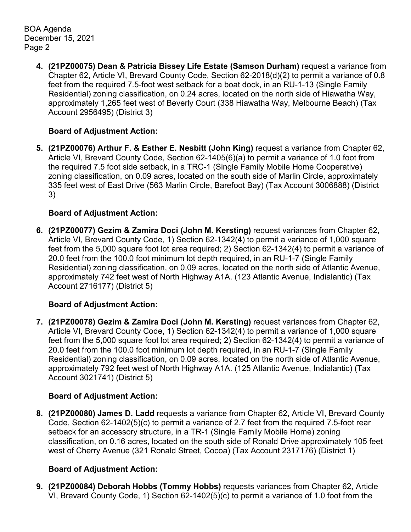BOA Agenda December 15, 2021 Page 2

> **4. (21PZ00075) Dean & Patricia Bissey Life Estate (Samson Durham)** request a variance from Chapter 62, Article VI, Brevard County Code, Section 62-2018(d)(2) to permit a variance of 0.8 feet from the required 7.5-foot west setback for a boat dock, in an RU-1-13 (Single Family Residential) zoning classification, on 0.24 acres, located on the north side of Hiawatha Way, approximately 1,265 feet west of Beverly Court (338 Hiawatha Way, Melbourne Beach) (Tax Account 2956495) (District 3)

## **Board of Adjustment Action:**

**5. (21PZ00076) Arthur F. & Esther E. Nesbitt (John King)** request a variance from Chapter 62, Article VI, Brevard County Code, Section 62-1405(6)(a) to permit a variance of 1.0 foot from the required 7.5 foot side setback, in a TRC-1 (Single Family Mobile Home Cooperative) zoning classification, on 0.09 acres, located on the south side of Marlin Circle, approximately 335 feet west of East Drive (563 Marlin Circle, Barefoot Bay) (Tax Account 3006888) (District 3)

## **Board of Adjustment Action:**

**6. (21PZ00077) Gezim & Zamira Doci (John M. Kersting)** request variances from Chapter 62, Article VI, Brevard County Code, 1) Section 62-1342(4) to permit a variance of 1,000 square feet from the 5,000 square foot lot area required; 2) Section 62-1342(4) to permit a variance of 20.0 feet from the 100.0 foot minimum lot depth required, in an RU-1-7 (Single Family Residential) zoning classification, on 0.09 acres, located on the north side of Atlantic Avenue, approximately 742 feet west of North Highway A1A. (123 Atlantic Avenue, Indialantic) (Tax Account 2716177) (District 5)

# **Board of Adjustment Action:**

**7. (21PZ00078) Gezim & Zamira Doci (John M. Kersting)** request variances from Chapter 62, Article VI, Brevard County Code, 1) Section 62-1342(4) to permit a variance of 1,000 square feet from the 5,000 square foot lot area required; 2) Section 62-1342(4) to permit a variance of 20.0 feet from the 100.0 foot minimum lot depth required, in an RU-1-7 (Single Family Residential) zoning classification, on 0.09 acres, located on the north side of Atlantic Avenue, approximately 792 feet west of North Highway A1A. (125 Atlantic Avenue, Indialantic) (Tax Account 3021741) (District 5)

# **Board of Adjustment Action:**

**8. (21PZ00080) James D. Ladd** requests a variance from Chapter 62, Article VI, Brevard County Code, Section 62-1402(5)(c) to permit a variance of 2.7 feet from the required 7.5-foot rear setback for an accessory structure, in a TR-1 (Single Family Mobile Home) zoning classification, on 0.16 acres, located on the south side of Ronald Drive approximately 105 feet west of Cherry Avenue (321 Ronald Street, Cocoa) (Tax Account 2317176) (District 1)

# **Board of Adjustment Action:**

**9. (21PZ00084) Deborah Hobbs (Tommy Hobbs)** requests variances from Chapter 62, Article VI, Brevard County Code, 1) Section 62-1402(5)(c) to permit a variance of 1.0 foot from the